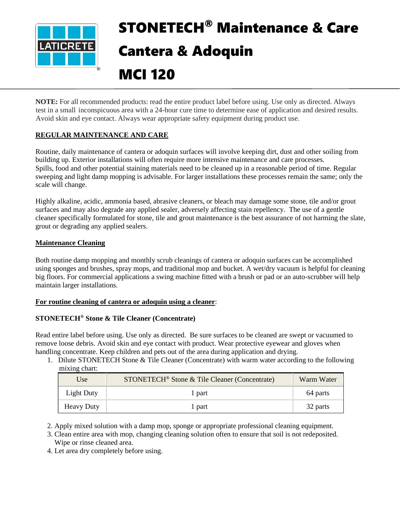

# STONETECH® Maintenance & Care Cantera & Adoquin

MCI 120

**NOTE:** For all recommended products: read the entire product label before using. Use only as directed. Always test in a small inconspicuous area with a 24-hour cure time to determine ease of application and desired results. Avoid skin and eye contact. Always wear appropriate safety equipment during product use.

# **REGULAR MAINTENANCE AND CARE**

Routine, daily maintenance of cantera or adoquin surfaces will involve keeping dirt, dust and other soiling from building up. Exterior installations will often require more intensive maintenance and care processes. Spills, food and other potential staining materials need to be cleaned up in a reasonable period of time. Regular sweeping and light damp mopping is advisable. For larger installations these processes remain the same; only the scale will change.

Highly alkaline, acidic, ammonia based, abrasive cleaners, or bleach may damage some stone, tile and/or grout surfaces and may also degrade any applied sealer, adversely affecting stain repellency. The use of a gentle cleaner specifically formulated for stone, tile and grout maintenance is the best assurance of not harming the slate, grout or degrading any applied sealers.

#### **Maintenance Cleaning**

Both routine damp mopping and monthly scrub cleanings of cantera or adoquin surfaces can be accomplished using sponges and brushes, spray mops, and traditional mop and bucket. A wet/dry vacuum is helpful for cleaning big floors. For commercial applications a swing machine fitted with a brush or pad or an auto-scrubber will help maintain larger installations.

#### **For routine cleaning of cantera or adoquin using a cleaner**:

#### **STONETECH® Stone & Tile Cleaner (Concentrate)**

Read entire label before using. Use only as directed. Be sure surfaces to be cleaned are swept or vacuumed to remove loose debris. Avoid skin and eye contact with product. Wear protective eyewear and gloves when handling concentrate. Keep children and pets out of the area during application and drying.

1. Dilute STONETECH Stone & Tile Cleaner (Concentrate) with warm water according to the following mixing chart:

| Use               | STONETECH <sup>®</sup> Stone & Tile Cleaner (Concentrate) | Warm Water |
|-------------------|-----------------------------------------------------------|------------|
| Light Duty        | 1 part                                                    | 64 parts   |
| <b>Heavy Duty</b> | l part                                                    | 32 parts   |

2. Apply mixed solution with a damp mop, sponge or appropriate professional cleaning equipment.

3. Clean entire area with mop, changing cleaning solution often to ensure that soil is not redeposited. Wipe or rinse cleaned area.

4. Let area dry completely before using.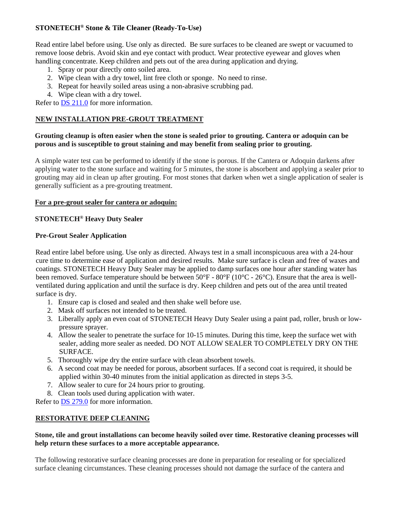# **STONETECH® Stone & Tile Cleaner (Ready-To-Use)**

Read entire label before using. Use only as directed. Be sure surfaces to be cleaned are swept or vacuumed to remove loose debris. Avoid skin and eye contact with product. Wear protective eyewear and gloves when handling concentrate. Keep children and pets out of the area during application and drying.

- 1. Spray or pour directly onto soiled area.
- 2. Wipe clean with a dry towel, lint free cloth or sponge. No need to rinse.
- 3. Repeat for heavily soiled areas using a non-abrasive scrubbing pad.
- 4. Wipe clean with a dry towel.

Refer to [DS 211.0](https://cdn.laticrete.com/~/media/product-documents/product-data-sheets/ds-211.ashx) for more information.

#### **NEW INSTALLATION PRE-GROUT TREATMENT**

#### **Grouting cleanup is often easier when the stone is sealed prior to grouting. Cantera or adoquin can be porous and is susceptible to grout staining and may benefit from sealing prior to grouting.**

A simple water test can be performed to identify if the stone is porous. If the Cantera or Adoquin darkens after applying water to the stone surface and waiting for 5 minutes, the stone is absorbent and applying a sealer prior to grouting may aid in clean up after grouting. For most stones that darken when wet a single application of sealer is generally sufficient as a pre-grouting treatment.

#### **For a pre-grout sealer for cantera or adoquin:**

# **STONETECH® Heavy Duty Sealer**

#### **Pre-Grout Sealer Application**

Read entire label before using. Use only as directed. Always test in a small inconspicuous area with a 24-hour cure time to determine ease of application and desired results. Make sure surface is clean and free of waxes and coatings. STONETECH Heavy Duty Sealer may be applied to damp surfaces one hour after standing water has been removed. Surface temperature should be between 50°F - 80°F (10°C - 26°C). Ensure that the area is wellventilated during application and until the surface is dry. Keep children and pets out of the area until treated surface is dry.

- 1. Ensure cap is closed and sealed and then shake well before use.
- 2. Mask off surfaces not intended to be treated.
- 3. Liberally apply an even coat of STONETECH Heavy Duty Sealer using a paint pad, roller, brush or lowpressure sprayer.
- 4. Allow the sealer to penetrate the surface for 10-15 minutes. During this time, keep the surface wet with sealer, adding more sealer as needed. DO NOT ALLOW SEALER TO COMPLETELY DRY ON THE SURFACE.
- 5. Thoroughly wipe dry the entire surface with clean absorbent towels.
- 6. A second coat may be needed for porous, absorbent surfaces. If a second coat is required, it should be applied within 30-40 minutes from the initial application as directed in steps 3-5.
- 7. Allow sealer to cure for 24 hours prior to grouting.
- 8. Clean tools used during application with water.

Refer to [DS 279.0](https://cdn.laticrete.com/~/media/product-documents/product-data-sheets/ds-279.ashx) for more information.

#### **RESTORATIVE DEEP CLEANING**

#### **Stone, tile and grout installations can become heavily soiled over time. Restorative cleaning processes will help return these surfaces to a more acceptable appearance.**

The following restorative surface cleaning processes are done in preparation for resealing or for specialized surface cleaning circumstances. These cleaning processes should not damage the surface of the cantera and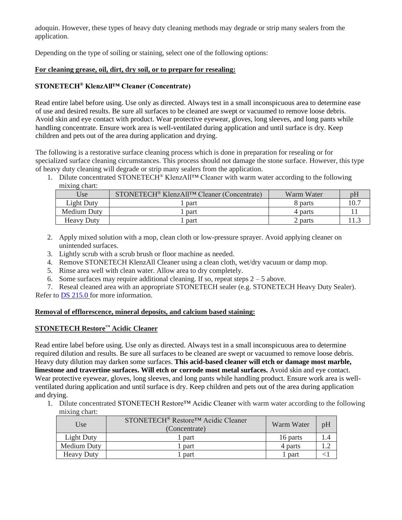adoquin. However, these types of heavy duty cleaning methods may degrade or strip many sealers from the application.

Depending on the type of soiling or staining, select one of the following options:

#### **For cleaning grease, oil, dirt, dry soil, or to prepare for resealing:**

# **STONETECH® KlenzAll™ Cleaner (Concentrate)**

Read entire label before using. Use only as directed. Always test in a small inconspicuous area to determine ease of use and desired results. Be sure all surfaces to be cleaned are swept or vacuumed to remove loose debris. Avoid skin and eye contact with product. Wear protective eyewear, gloves, long sleeves, and long pants while handling concentrate. Ensure work area is well-ventilated during application and until surface is dry. Keep children and pets out of the area during application and drying.

The following is a restorative surface cleaning process which is done in preparation for resealing or for specialized surface cleaning circumstances. This process should not damage the stone surface. However, this type of heavy duty cleaning will degrade or strip many sealers from the application.

1. Dilute concentrated STONETECH<sup>®</sup> KlenzAll<sup>TM</sup> Cleaner with warm water according to the following mixing chart:

| Use               | STONETECH <sup>®</sup> KlenzAll <sup>TM</sup> Cleaner (Concentrate) | Warm Water | pH  |
|-------------------|---------------------------------------------------------------------|------------|-----|
| Light Duty        | part                                                                | 8 parts    | 10. |
| Medium Duty       | part                                                                | 4 parts    |     |
| <b>Heavy Duty</b> | part                                                                | 2 parts    |     |

- 2. Apply mixed solution with a mop, clean cloth or low-pressure sprayer. Avoid applying cleaner on unintended surfaces.
- 3. Lightly scrub with a scrub brush or floor machine as needed.
- 4. Remove STONETECH KlenzAll Cleaner using a clean cloth, wet/dry vacuum or damp mop.
- 5. Rinse area well with clean water. Allow area to dry completely.
- 6. Some surfaces may require additional cleaning. If so, repeat steps  $2 5$  above.

7. Reseal cleaned area with an appropriate STONETECH sealer (e.g. STONETECH Heavy Duty Sealer). Refer to [DS 215.0](https://cdn.laticrete.com/~/media/product-documents/product-data-sheets/ds-215.ashx) for more information.

#### **Removal of efflorescence, mineral deposits, and calcium based staining:**

#### **STONETECH Restore™ Acidic Cleaner**

Read entire label before using. Use only as directed. Always test in a small inconspicuous area to determine required dilution and results. Be sure all surfaces to be cleaned are swept or vacuumed to remove loose debris. Heavy duty dilution may darken some surfaces. **This acid-based cleaner will etch or damage most marble, limestone and travertine surfaces. Will etch or corrode most metal surfaces.** Avoid skin and eye contact. Wear protective eyewear, gloves, long sleeves, and long pants while handling product. Ensure work area is wellventilated during application and until surface is dry. Keep children and pets out of the area during application and drying.

1. Dilute concentrated STONETECH Restore™ Acidic Cleaner with warm water according to the following mixing chart:

| Use         | STONETECH <sup>®</sup> Restore <sup>™</sup> Acidic Cleaner<br>(Concentrate) | Warm Water | pH |
|-------------|-----------------------------------------------------------------------------|------------|----|
| Light Duty  | . part                                                                      | 16 parts   |    |
| Medium Duty | <sub>part</sub>                                                             | 4 parts    |    |
| Heavy Duty  | part                                                                        | part       |    |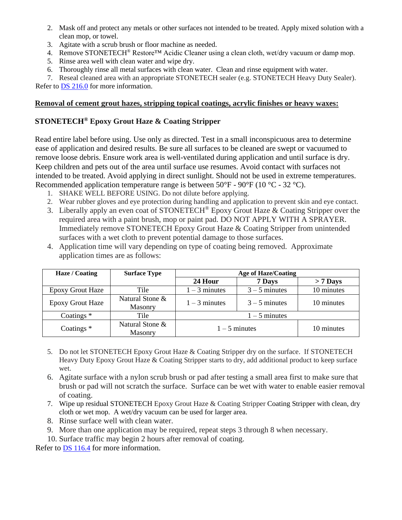- 2. Mask off and protect any metals or other surfaces not intended to be treated. Apply mixed solution with a clean mop, or towel.
- 3. Agitate with a scrub brush or floor machine as needed.
- 4. Remove STONETECH® Restore™ Acidic Cleaner using a clean cloth, wet/dry vacuum or damp mop.
- 5. Rinse area well with clean water and wipe dry.
- 6. Thoroughly rinse all metal surfaces with clean water. Clean and rinse equipment with water.

7. Reseal cleaned area with an appropriate STONETECH sealer (e.g. STONETECH Heavy Duty Sealer).

Refer to [DS 216.0](https://cdn.laticrete.com/~/media/product-documents/product-data-sheets/ds-216.ashx) for more information.

## **Removal of cement grout hazes, stripping topical coatings, acrylic finishes or heavy waxes:**

# **STONETECH® Epoxy Grout Haze & Coating Stripper**

Read entire label before using. Use only as directed. Test in a small inconspicuous area to determine ease of application and desired results. Be sure all surfaces to be cleaned are swept or vacuumed to remove loose debris. Ensure work area is well-ventilated during application and until surface is dry. Keep children and pets out of the area until surface use resumes. Avoid contact with surfaces not intended to be treated. Avoid applying in direct sunlight. Should not be used in extreme temperatures. Recommended application temperature range is between  $50^{\circ}$ F -  $90^{\circ}$ F (10  $^{\circ}$ C - 32  $^{\circ}$ C).

- 1. SHAKE WELL BEFORE USING. Do not dilute before applying.
- 2. Wear rubber gloves and eye protection during handling and application to prevent skin and eye contact.
- 3. Liberally apply an even coat of STONETECH<sup>®</sup> Epoxy Grout Haze & Coating Stripper over the required area with a paint brush, mop or paint pad. DO NOT APPLY WITH A SPRAYER. Immediately remove STONETECH Epoxy Grout Haze & Coating Stripper from unintended surfaces with a wet cloth to prevent potential damage to those surfaces.
- 4. Application time will vary depending on type of coating being removed. Approximate application times are as follows:

| Haze / Coating          | <b>Surface Type</b>               | <b>Age of Haze/Coating</b> |                 |            |
|-------------------------|-----------------------------------|----------------------------|-----------------|------------|
|                         |                                   | 24 Hour                    | 7 Days          | $> 7$ Days |
| Epoxy Grout Haze        | Tile                              | $1 - 3$ minutes            | $3 - 5$ minutes | 10 minutes |
| <b>Epoxy Grout Haze</b> | Natural Stone &<br><b>Masonry</b> | $1 - 3$ minutes            | $3 - 5$ minutes | 10 minutes |
| Coatings $*$            | Tile                              | $1 - 5$ minutes            |                 |            |
| Coatings $*$            | Natural Stone &<br>Masonry        | $1 - 5$ minutes            |                 | 10 minutes |

- 5. Do not let STONETECH Epoxy Grout Haze & Coating Stripper dry on the surface. If STONETECH Heavy Duty Epoxy Grout Haze & Coating Stripper starts to dry, add additional product to keep surface wet.
- 6. Agitate surface with a nylon scrub brush or pad after testing a small area first to make sure that brush or pad will not scratch the surface. Surface can be wet with water to enable easier removal of coating.
- 7. Wipe up residual STONETECH Epoxy Grout Haze & Coating Stripper Coating Stripper with clean, dry cloth or wet mop. A wet/dry vacuum can be used for larger area.
- 8. Rinse surface well with clean water.
- 9. More than one application may be required, repeat steps 3 through 8 when necessary.
- 10. Surface traffic may begin 2 hours after removal of coating.

Refer to [DS 116.4](https://cdn.laticrete.com/~/media/product-documents/product-data-sheets/ds1664_stonetech-epoxy-grout-haze-coating-stripper.ashx) for more information.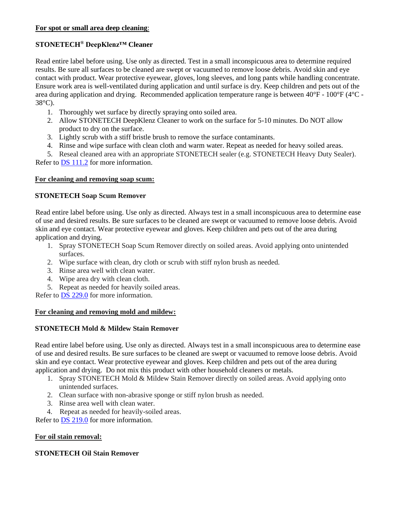#### **For spot or small area deep cleaning**:

#### **STONETECH® DeepKlenz™ Cleaner**

Read entire label before using. Use only as directed. Test in a small inconspicuous area to determine required results. Be sure all surfaces to be cleaned are swept or vacuumed to remove loose debris. Avoid skin and eye contact with product. Wear protective eyewear, gloves, long sleeves, and long pants while handling concentrate. Ensure work area is well-ventilated during application and until surface is dry. Keep children and pets out of the area during application and drying. Recommended application temperature range is between 40°F - 100°F (4°C - 38°C).

- 1. Thoroughly wet surface by directly spraying onto soiled area.
- 2. Allow STONETECH DeepKlenz Cleaner to work on the surface for 5-10 minutes. Do NOT allow product to dry on the surface.
- 3. Lightly scrub with a stiff bristle brush to remove the surface contaminants.
- 4. Rinse and wipe surface with clean cloth and warm water. Repeat as needed for heavy soiled areas.

5. Reseal cleaned area with an appropriate STONETECH sealer (e.g. STONETECH Heavy Duty Sealer). Refer to [DS 111.2](https://cdn.laticrete.com/~/media/product-documents/product-data-sheets/ds-1112.ashx) for more information.

#### **For cleaning and removing soap scum:**

#### **STONETECH Soap Scum Remover**

Read entire label before using. Use only as directed. Always test in a small inconspicuous area to determine ease of use and desired results. Be sure surfaces to be cleaned are swept or vacuumed to remove loose debris. Avoid skin and eye contact. Wear protective eyewear and gloves. Keep children and pets out of the area during application and drying.

- 1. Spray STONETECH Soap Scum Remover directly on soiled areas. Avoid applying onto unintended surfaces.
- 2. Wipe surface with clean, dry cloth or scrub with stiff nylon brush as needed.
- 3. Rinse area well with clean water.
- 4. Wipe area dry with clean cloth.
- 5. Repeat as needed for heavily soiled areas.

Refer to [DS 229.0](https://cdn.laticrete.com/~/media/product-documents/product-data-sheets/ds-229.ashx) for more information.

#### **For cleaning and removing mold and mildew:**

#### **STONETECH Mold & Mildew Stain Remover**

Read entire label before using. Use only as directed. Always test in a small inconspicuous area to determine ease of use and desired results. Be sure surfaces to be cleaned are swept or vacuumed to remove loose debris. Avoid skin and eye contact. Wear protective eyewear and gloves. Keep children and pets out of the area during application and drying. Do not mix this product with other household cleaners or metals.

- 1. Spray STONETECH Mold & Mildew Stain Remover directly on soiled areas. Avoid applying onto unintended surfaces.
- 2. Clean surface with non-abrasive sponge or stiff nylon brush as needed.
- 3. Rinse area well with clean water.
- 4. Repeat as needed for heavily-soiled areas.

Refer to [DS 219.0](https://cdn.laticrete.com/~/media/product-documents/product-data-sheets/ds-219.ashx) for more information.

#### **For oil stain removal:**

#### **STONETECH Oil Stain Remover**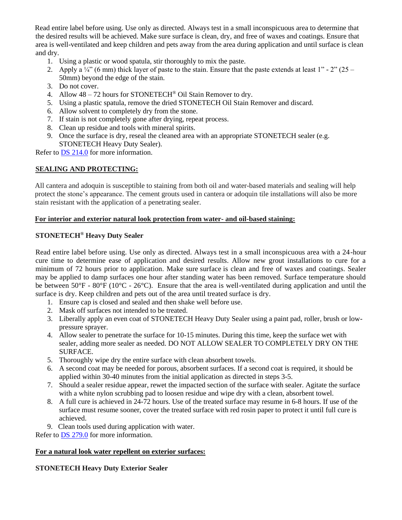Read entire label before using. Use only as directed. Always test in a small inconspicuous area to determine that the desired results will be achieved. Make sure surface is clean, dry, and free of waxes and coatings. Ensure that area is well-ventilated and keep children and pets away from the area during application and until surface is clean and dry.

- 1. Using a plastic or wood spatula, stir thoroughly to mix the paste.
- 2. Apply a  $\frac{1}{4}$  (6 mm) thick layer of paste to the stain. Ensure that the paste extends at least 1" 2" (25 50mm) beyond the edge of the stain.
- 3. Do not cover.
- 4. Allow  $48 72$  hours for STONETECH<sup>®</sup> Oil Stain Remover to dry.
- 5. Using a plastic spatula, remove the dried STONETECH Oil Stain Remover and discard.
- 6. Allow solvent to completely dry from the stone.
- 7. If stain is not completely gone after drying, repeat process.
- 8. Clean up residue and tools with mineral spirits.
- 9. Once the surface is dry, reseal the cleaned area with an appropriate STONETECH sealer (e.g. STONETECH Heavy Duty Sealer).

Refer to [DS 214.0](https://cdn.laticrete.com/~/media/product-documents/product-data-sheets/ds-214.ashx) for more information.

#### **SEALING AND PROTECTING:**

All cantera and adoquin is susceptible to staining from both oil and water-based materials and sealing will help protect the stone's appearance. The cement grouts used in cantera or adoquin tile installations will also be more stain resistant with the application of a penetrating sealer.

#### **For interior and exterior natural look protection from water- and oil-based staining:**

#### **STONETECH® Heavy Duty Sealer**

Read entire label before using. Use only as directed. Always test in a small inconspicuous area with a 24-hour cure time to determine ease of application and desired results. Allow new grout installations to cure for a minimum of 72 hours prior to application. Make sure surface is clean and free of waxes and coatings. Sealer may be applied to damp surfaces one hour after standing water has been removed. Surface temperature should be between 50°F - 80°F (10°C - 26°C). Ensure that the area is well-ventilated during application and until the surface is dry. Keep children and pets out of the area until treated surface is dry.

- 1. Ensure cap is closed and sealed and then shake well before use.
- 2. Mask off surfaces not intended to be treated.
- 3. Liberally apply an even coat of STONETECH Heavy Duty Sealer using a paint pad, roller, brush or lowpressure sprayer.
- 4. Allow sealer to penetrate the surface for 10-15 minutes. During this time, keep the surface wet with sealer, adding more sealer as needed. DO NOT ALLOW SEALER TO COMPLETELY DRY ON THE SURFACE.
- 5. Thoroughly wipe dry the entire surface with clean absorbent towels.
- 6. A second coat may be needed for porous, absorbent surfaces. If a second coat is required, it should be applied within 30-40 minutes from the initial application as directed in steps 3-5.
- 7. Should a sealer residue appear, rewet the impacted section of the surface with sealer. Agitate the surface with a white nylon scrubbing pad to loosen residue and wipe dry with a clean, absorbent towel.
- 8. A full cure is achieved in 24-72 hours. Use of the treated surface may resume in 6-8 hours. If use of the surface must resume sooner, cover the treated surface with red rosin paper to protect it until full cure is achieved.
- 9. Clean tools used during application with water.

Refer to [DS 279.0](https://cdn.laticrete.com/~/media/product-documents/product-data-sheets/ds-279.ashx) for more information.

#### **For a natural look water repellent on exterior surfaces:**

#### **STONETECH Heavy Duty Exterior Sealer**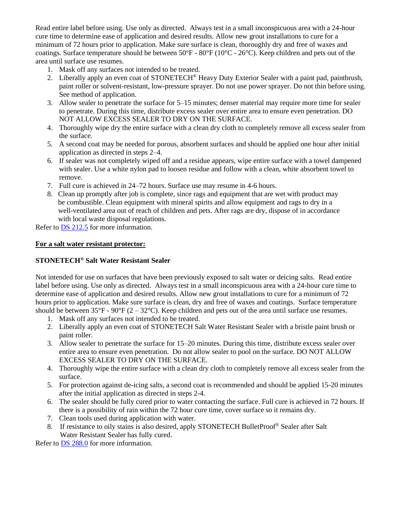Read entire label before using. Use only as directed. Always test in a small inconspicuous area with a 24-hour cure time to determine ease of application and desired results. Allow new grout installations to cure for a minimum of 72 hours prior to application. Make sure surface is clean, thoroughly dry and free of waxes and coatings. Surface temperature should be between 50°F - 80°F (10°C - 26°C). Keep children and pets out of the area until surface use resumes.

- 1. Mask off any surfaces not intended to be treated.
- 2. Liberally apply an even coat of STONETECH® Heavy Duty Exterior Sealer with a paint pad, paintbrush, paint roller or solvent-resistant, low-pressure sprayer. Do not use power sprayer. Do not thin before using. See method of application.
- 3. Allow sealer to penetrate the surface for 5–15 minutes; denser material may require more time for sealer to penetrate. During this time, distribute excess sealer over entire area to ensure even penetration. DO NOT ALLOW EXCESS SEALER TO DRY ON THE SURFACE.
- 4. Thoroughly wipe dry the entire surface with a clean dry cloth to completely remove all excess sealer from the surface.
- 5. A second coat may be needed for porous, absorbent surfaces and should be applied one hour after initial application as directed in steps 2–4.
- 6. If sealer was not completely wiped off and a residue appears, wipe entire surface with a towel dampened with sealer. Use a white nylon pad to loosen residue and follow with a clean, white absorbent towel to remove.
- 7. Full cure is achieved in 24–72 hours. Surface use may resume in 4-6 hours.
- 8. Clean up promptly after job is complete, since rags and equipment that are wet with product may be combustible. Clean equipment with mineral spirits and allow equipment and rags to dry in a well-ventilated area out of reach of children and pets. After rags are dry, dispose of in accordance with local waste disposal regulations.

Refer to [DS 212.5](https://cdn.laticrete.com/~/media/product-documents/product-data-sheets/ds-2125.ashx) for more information.

#### **For a salt water resistant protector:**

#### **STONETECH® Salt Water Resistant Sealer**

Not intended for use on surfaces that have been previously exposed to salt water or deicing salts. Read entire label before using. Use only as directed. Always test in a small inconspicuous area with a 24-hour cure time to determine ease of application and desired results. Allow new grout installations to cure for a minimum of 72 hours prior to application. Make sure surface is clean, dry and free of waxes and coatings. Surface temperature should be between  $35^{\circ}F - 90^{\circ}F (2 - 32^{\circ}C)$ . Keep children and pets out of the area until surface use resumes.

- 1. Mask off any surfaces not intended to be treated.
- 2. Liberally apply an even coat of STONETECH Salt Water Resistant Sealer with a bristle paint brush or paint roller.
- 3. Allow sealer to penetrate the surface for 15–20 minutes. During this time, distribute excess sealer over entire area to ensure even penetration. Do not allow sealer to pool on the surface. DO NOT ALLOW EXCESS SEALER TO DRY ON THE SURFACE.
- 4. Thoroughly wipe the entire surface with a clean dry cloth to completely remove all excess sealer from the surface.
- 5. For protection against de-icing salts, a second coat is recommended and should be applied 15-20 minutes after the initial application as directed in steps 2-4.
- 6. The sealer should be fully cured prior to water contacting the surface. Full cure is achieved in 72 hours. If there is a possibility of rain within the 72 hour cure time, cover surface so it remains dry.
- 7. Clean tools used during application with water.
- 8. If resistance to oily stains is also desired, apply STONETECH Bullet Proof<sup>®</sup> Sealer after Salt Water Resistant Sealer has fully cured.

Refer to [DS 288.0](https://cdn.laticrete.com/~/media/product-documents/product-data-sheets/ds-288.ashx) for more information.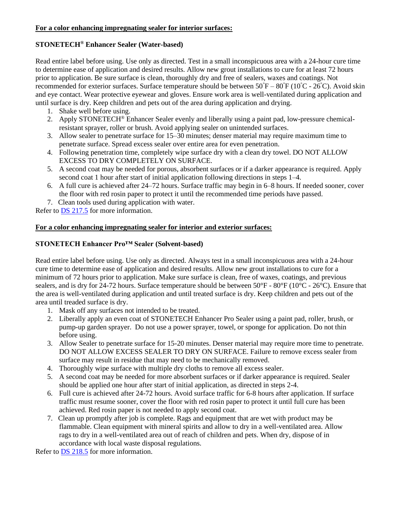#### **For a color enhancing impregnating sealer for interior surfaces:**

#### **STONETECH® Enhancer Sealer (Water-based)**

Read entire label before using. Use only as directed. Test in a small inconspicuous area with a 24-hour cure time to determine ease of application and desired results. Allow new grout installations to cure for at least 72 hours prior to application. Be sure surface is clean, thoroughly dry and free of sealers, waxes and coatings. Not recommended for exterior surfaces. Surface temperature should be between 50°F – 80°F (10°C - 26°C). Avoid skin and eye contact. Wear protective eyewear and gloves. Ensure work area is well-ventilated during application and until surface is dry. Keep children and pets out of the area during application and drying.

- 1. Shake well before using.
- 2. Apply STONETECH<sup>®</sup> Enhancer Sealer evenly and liberally using a paint pad, low-pressure chemicalresistant sprayer, roller or brush. Avoid applying sealer on unintended surfaces.
- 3. Allow sealer to penetrate surface for 15–30 minutes; denser material may require maximum time to penetrate surface. Spread excess sealer over entire area for even penetration.
- 4. Following penetration time, completely wipe surface dry with a clean dry towel. DO NOT ALLOW EXCESS TO DRY COMPLETELY ON SURFACE.
- 5. A second coat may be needed for porous, absorbent surfaces or if a darker appearance is required. Apply second coat 1 hour after start of initial application following directions in steps 1–4.
- 6. A full cure is achieved after 24–72 hours. Surface traffic may begin in 6–8 hours. If needed sooner, cover the floor with red rosin paper to protect it until the recommended time periods have passed.
- 7. Clean tools used during application with water.

Refer to [DS 217.5](https://cdn.laticrete.com/~/media/product-documents/product-data-sheets/ds-2175.ashx) for more information.

#### **For a color enhancing impregnating sealer for interior and exterior surfaces:**

#### **STONETECH Enhancer Pro™ Sealer (Solvent-based)**

Read entire label before using. Use only as directed. Always test in a small inconspicuous area with a 24-hour cure time to determine ease of application and desired results. Allow new grout installations to cure for a minimum of 72 hours prior to application. Make sure surface is clean, free of waxes, coatings, and previous sealers, and is dry for 24-72 hours. Surface temperature should be between  $50^{\circ}F - 80^{\circ}F (10^{\circ}C - 26^{\circ}C)$ . Ensure that the area is well-ventilated during application and until treated surface is dry. Keep children and pets out of the area until treaded surface is dry.

- 1. Mask off any surfaces not intended to be treated.
- 2. Liberally apply an even coat of STONETECH Enhancer Pro Sealer using a paint pad, roller, brush, or pump-up garden sprayer. Do not use a power sprayer, towel, or sponge for application. Do not thin before using.
- 3. Allow Sealer to penetrate surface for 15-20 minutes. Denser material may require more time to penetrate. DO NOT ALLOW EXCESS SEALER TO DRY ON SURFACE. Failure to remove excess sealer from surface may result in residue that may need to be mechanically removed.
- 4. Thoroughly wipe surface with multiple dry cloths to remove all excess sealer.
- 5. A second coat may be needed for more absorbent surfaces or if darker appearance is required. Sealer should be applied one hour after start of initial application, as directed in steps 2-4.
- 6. Full cure is achieved after 24-72 hours. Avoid surface traffic for 6-8 hours after application. If surface traffic must resume sooner, cover the floor with red rosin paper to protect it until full cure has been achieved. Red rosin paper is not needed to apply second coat.
- 7. Clean up promptly after job is complete. Rags and equipment that are wet with product may be flammable. Clean equipment with mineral spirits and allow to dry in a well-ventilated area. Allow rags to dry in a well-ventilated area out of reach of children and pets. When dry, dispose of in accordance with local waste disposal regulations.

Refer to **DS 218.5** for more information.